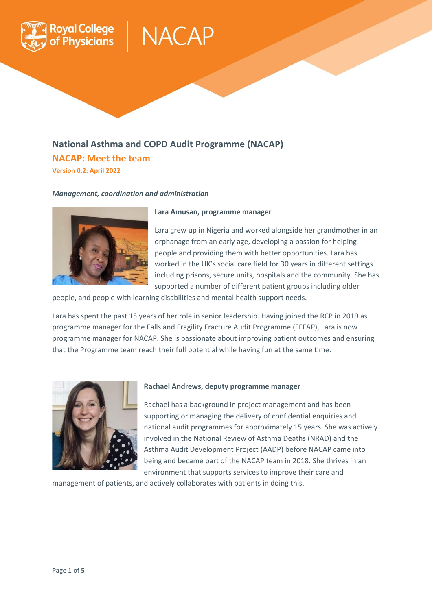

# **National Asthma and COPD Audit Programme (NACAP) NACAP: Meet the team Version 0.2: April 2022**

#### *Management, coordination and administration*



#### **Lara Amusan, programme manager**

Lara grew up in Nigeria and worked alongside her grandmother in an orphanage from an early age, developing a passion for helping people and providing them with better opportunities. Lara has worked in the UK's social care field for 30 years in different settings including prisons, secure units, hospitals and the community. She has supported a number of different patient groups including older

people, and people with learning disabilities and mental health support needs.

Lara has spent the past 15 years of her role in senior leadership. Having joined the RCP in 2019 as programme manager for the Falls and Fragility Fracture Audit Programme (FFFAP), Lara is now programme manager for NACAP. She is passionate about improving patient outcomes and ensuring that the Programme team reach their full potential while having fun at the same time.



#### **Rachael Andrews, deputy programme manager**

Rachael has a background in project management and has been supporting or managing the delivery of confidential enquiries and national audit programmes for approximately 15 years. She was actively involved in the National Review of Asthma Deaths (NRAD) and the Asthma Audit Development Project (AADP) before NACAP came into being and became part of the NACAP team in 2018. She thrives in an environment that supports services to improve their care and

management of patients, and actively collaborates with patients in doing this.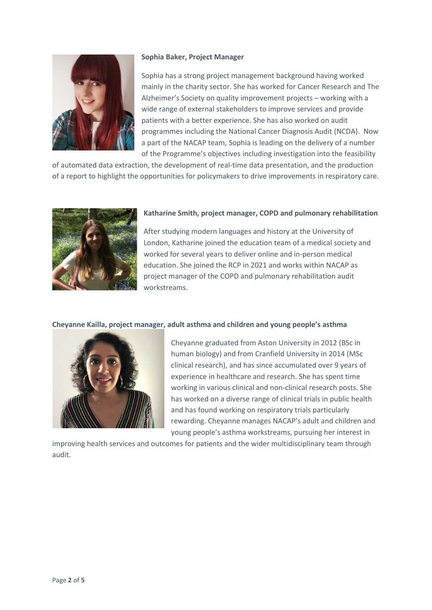

## **Sophia Baker, Project Manager**

Sophia has a strong project management background having worked mainly in the charity sector. She has worked for Cancer Research and The Alzheimer's Society on quality improvement projects – working with a wide range of external stakeholders to improve services and provide patients with a better experience. She has also worked on audit programmes including the National Cancer Diagnosis Audit (NCDA). Now a part of the NACAP team, Sophia is leading on the delivery of a number of the Programme's objectives including investigation into the feasibility

of automated data extraction, the development of real-time data presentation, and the production of a report to highlight the opportunities for policymakers to drive improvements in respiratory care.



## **Katharine Smith, project manager, COPD and pulmonary rehabilitation**

After studying modern languages and history at the University of London, Katharine joined the education team of a medical society and worked for several years to deliver online and in-person medical education. She joined the RCP in 2021 and works within NACAP as project manager of the COPD and pulmonary rehabilitation audit workstreams.

## **Cheyanne Kailla, project manager, adult asthma and children and young people's asthma**



Cheyanne graduated from Aston University in 2012 (BSc in human biology) and from Cranfield University in 2014 (MSc clinical research), and has since accumulated over 9 years of experience in healthcare and research. She has spent time working in various clinical and non-clinical research posts. She has worked on a diverse range of clinical trials in public health and has found working on respiratory trials particularly rewarding. Cheyanne manages NACAP's adult and children and young people's asthma workstreams, pursuing her interest in

improving health services and outcomes for patients and the wider multidisciplinary team through audit.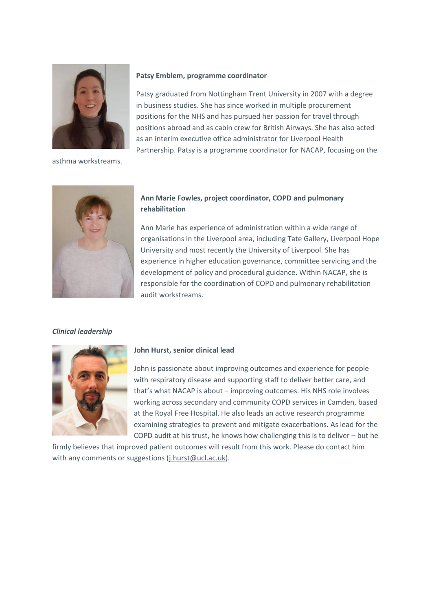

asthma workstreams.

#### **Patsy Emblem, programme coordinator**

Patsy graduated from Nottingham Trent University in 2007 with a degree in business studies. She has since worked in multiple procurement positions for the NHS and has pursued her passion for travel through positions abroad and as cabin crew for British Airways. She has also acted as an interim executive office administrator for Liverpool Health Partnership. Patsy is a programme coordinator for NACAP, focusing on the



## **Ann Marie Fowles, project coordinator, COPD and pulmonary rehabilitation**

Ann Marie has experience of administration within a wide range of organisations in the Liverpool area, including Tate Gallery, Liverpool Hope University and most recently the University of Liverpool. She has experience in higher education governance, committee servicing and the development of policy and procedural guidance. Within NACAP, she is responsible for the coordination of COPD and pulmonary rehabilitation audit workstreams.

## *Clinical leadership*



#### **John Hurst, senior clinical lead**

John is passionate about improving outcomes and experience for people with respiratory disease and supporting staff to deliver better care, and that's what NACAP is about – improving outcomes. His NHS role involves working across secondary and community COPD services in Camden, based at the Royal Free Hospital. He also leads an active research programme examining strategies to prevent and mitigate exacerbations. As lead for the COPD audit at his trust, he knows how challenging this is to deliver – but he

firmly believes that improved patient outcomes will result from this work. Please do contact him with any comments or suggestions [\(j.hurst@ucl.ac.uk\)](mailto:j.hurst@ucl.ac.uk).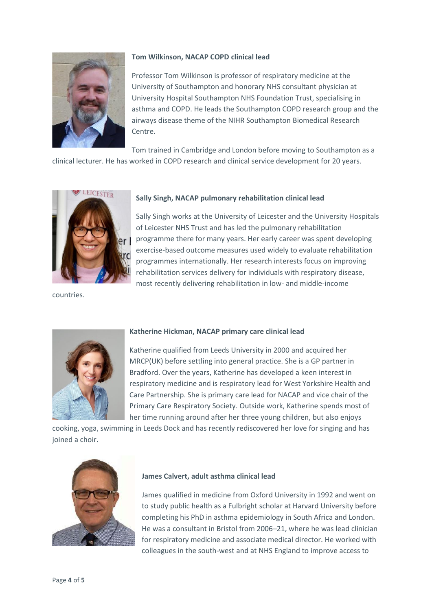

## **Tom Wilkinson, NACAP COPD clinical lead**

Professor Tom Wilkinson is professor of respiratory medicine at the University of Southampton and honorary NHS consultant physician at University Hospital Southampton NHS Foundation Trust, specialising in asthma and COPD. He leads the Southampton COPD research group and the airways disease theme of the NIHR Southampton Biomedical Research Centre.

Tom trained in Cambridge and London before moving to Southampton as a

clinical lecturer. He has worked in COPD research and clinical service development for 20 years.



## **Sally Singh, NACAP pulmonary rehabilitation clinical lead**

Sally Singh works at the University of Leicester and the University Hospitals of Leicester NHS Trust and has led the pulmonary rehabilitation programme there for many years. Her early career was spent developing exercise-based outcome measures used widely to evaluate rehabilitation programmes internationally. Her research interests focus on improving rehabilitation services delivery for individuals with respiratory disease, most recently delivering rehabilitation in low- and middle-income

countries.



## **Katherine Hickman, NACAP primary care clinical lead**

Katherine qualified from Leeds University in 2000 and acquired her MRCP(UK) before settling into general practice. She is a GP partner in Bradford. Over the years, Katherine has developed a keen interest in respiratory medicine and is respiratory lead for West Yorkshire Health and Care Partnership. She is primary care lead for NACAP and vice chair of the Primary Care Respiratory Society. Outside work, Katherine spends most of her time running around after her three young children, but also enjoys

cooking, yoga, swimming in Leeds Dock and has recently rediscovered her love for singing and has joined a choir.



## **James Calvert, adult asthma clinical lead**

James qualified in medicine from Oxford University in 1992 and went on to study public health as a Fulbright scholar at Harvard University before completing his PhD in asthma epidemiology in South Africa and London. He was a consultant in Bristol from 2006–21, where he was lead clinician for respiratory medicine and associate medical director. He worked with colleagues in the south-west and at NHS England to improve access to